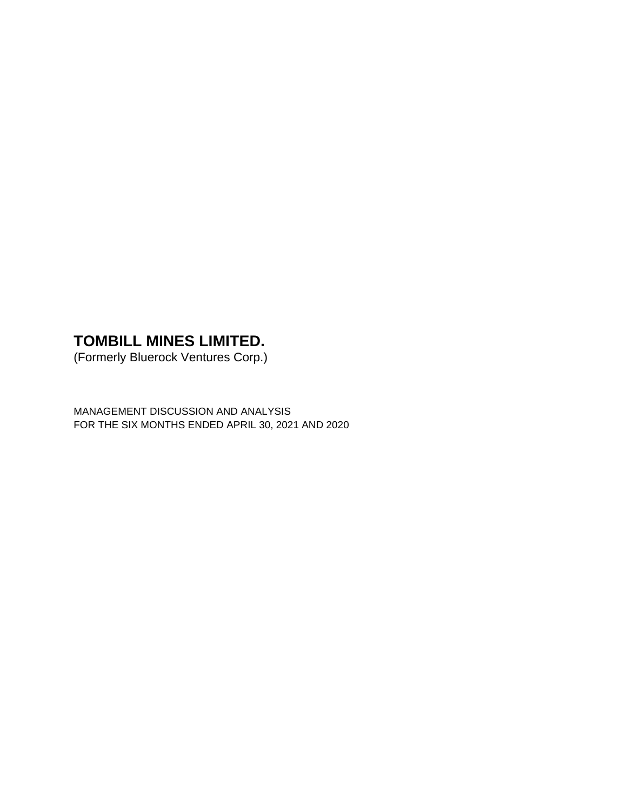(Formerly Bluerock Ventures Corp.)

MANAGEMENT DISCUSSION AND ANALYSIS FOR THE SIX MONTHS ENDED APRIL 30, 2021 AND 2020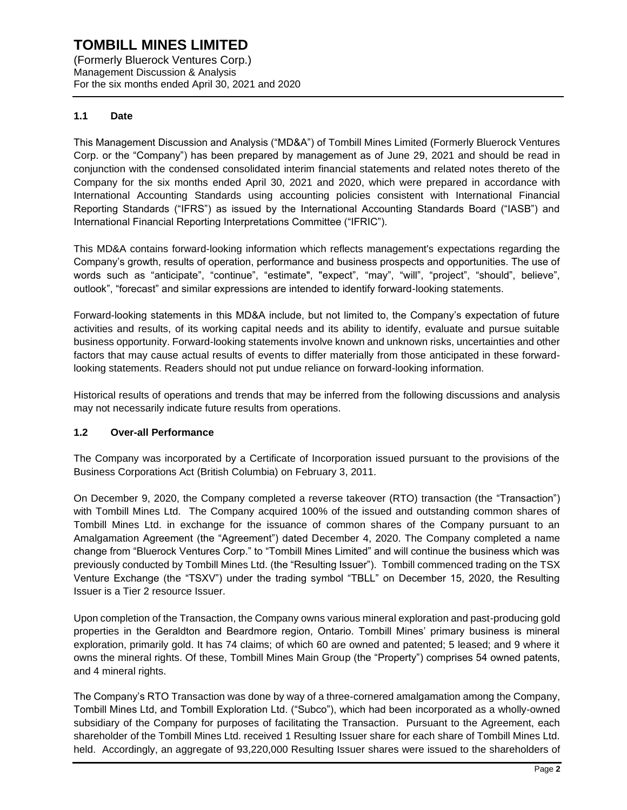(Formerly Bluerock Ventures Corp.) Management Discussion & Analysis For the six months ended April 30, 2021 and 2020

# **1.1 Date**

This Management Discussion and Analysis ("MD&A") of Tombill Mines Limited (Formerly Bluerock Ventures Corp. or the "Company") has been prepared by management as of June 29, 2021 and should be read in conjunction with the condensed consolidated interim financial statements and related notes thereto of the Company for the six months ended April 30, 2021 and 2020, which were prepared in accordance with International Accounting Standards using accounting policies consistent with International Financial Reporting Standards ("IFRS") as issued by the International Accounting Standards Board ("IASB") and International Financial Reporting Interpretations Committee ("IFRIC").

This MD&A contains forward-looking information which reflects management's expectations regarding the Company's growth, results of operation, performance and business prospects and opportunities. The use of words such as "anticipate", "continue", "estimate", "expect", "may", "will", "project", "should", believe", outlook", "forecast" and similar expressions are intended to identify forward-looking statements.

Forward-looking statements in this MD&A include, but not limited to, the Company's expectation of future activities and results, of its working capital needs and its ability to identify, evaluate and pursue suitable business opportunity. Forward-looking statements involve known and unknown risks, uncertainties and other factors that may cause actual results of events to differ materially from those anticipated in these forwardlooking statements. Readers should not put undue reliance on forward-looking information.

Historical results of operations and trends that may be inferred from the following discussions and analysis may not necessarily indicate future results from operations.

## **1.2 Over-all Performance**

The Company was incorporated by a Certificate of Incorporation issued pursuant to the provisions of the Business Corporations Act (British Columbia) on February 3, 2011.

On December 9, 2020, the Company completed a reverse takeover (RTO) transaction (the "Transaction") with Tombill Mines Ltd. The Company acquired 100% of the issued and outstanding common shares of Tombill Mines Ltd. in exchange for the issuance of common shares of the Company pursuant to an Amalgamation Agreement (the "Agreement") dated December 4, 2020. The Company completed a name change from "Bluerock Ventures Corp." to "Tombill Mines Limited" and will continue the business which was previously conducted by Tombill Mines Ltd. (the "Resulting Issuer"). Tombill commenced trading on the TSX Venture Exchange (the "TSXV") under the trading symbol "TBLL" on December 15, 2020, the Resulting Issuer is a Tier 2 resource Issuer.

Upon completion of the Transaction, the Company owns various mineral exploration and past-producing gold properties in the Geraldton and Beardmore region, Ontario. Tombill Mines' primary business is mineral exploration, primarily gold. It has 74 claims; of which 60 are owned and patented; 5 leased; and 9 where it owns the mineral rights. Of these, Tombill Mines Main Group (the "Property") comprises 54 owned patents, and 4 mineral rights.

The Company's RTO Transaction was done by way of a three-cornered amalgamation among the Company, Tombill Mines Ltd, and Tombill Exploration Ltd. ("Subco"), which had been incorporated as a wholly-owned subsidiary of the Company for purposes of facilitating the Transaction. Pursuant to the Agreement, each shareholder of the Tombill Mines Ltd. received 1 Resulting Issuer share for each share of Tombill Mines Ltd. held. Accordingly, an aggregate of 93,220,000 Resulting Issuer shares were issued to the shareholders of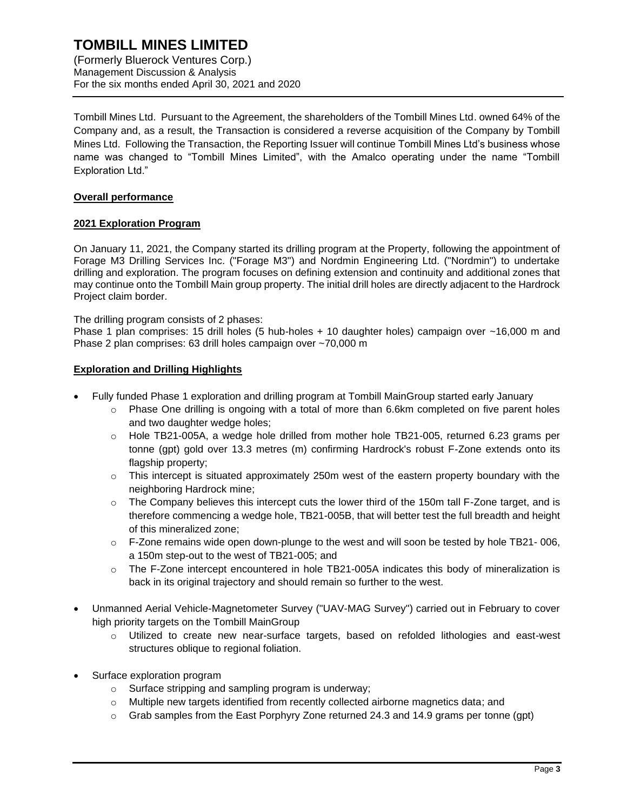(Formerly Bluerock Ventures Corp.) Management Discussion & Analysis For the six months ended April 30, 2021 and 2020

Tombill Mines Ltd. Pursuant to the Agreement, the shareholders of the Tombill Mines Ltd. owned 64% of the Company and, as a result, the Transaction is considered a reverse acquisition of the Company by Tombill Mines Ltd. Following the Transaction, the Reporting Issuer will continue Tombill Mines Ltd's business whose name was changed to "Tombill Mines Limited", with the Amalco operating under the name "Tombill Exploration Ltd."

## **Overall performance**

# **2021 Exploration Program**

On January 11, 2021, the Company started its drilling program at the Property, following the appointment of Forage M3 Drilling Services Inc. ("Forage M3") and Nordmin Engineering Ltd. ("Nordmin") to undertake drilling and exploration. The program focuses on defining extension and continuity and additional zones that may continue onto the Tombill Main group property. The initial drill holes are directly adjacent to the Hardrock Project claim border.

The drilling program consists of 2 phases:

Phase 1 plan comprises: 15 drill holes (5 hub-holes + 10 daughter holes) campaign over ~16,000 m and Phase 2 plan comprises: 63 drill holes campaign over ~70,000 m

## **Exploration and Drilling Highlights**

- Fully funded Phase 1 exploration and drilling program at Tombill MainGroup started early January
	- $\circ$  Phase One drilling is ongoing with a total of more than 6.6km completed on five parent holes and two daughter wedge holes;
	- $\circ$  Hole TB21-005A, a wedge hole drilled from mother hole TB21-005, returned 6.23 grams per tonne (gpt) gold over 13.3 metres (m) confirming Hardrock's robust F-Zone extends onto its flagship property;
	- $\circ$  This intercept is situated approximately 250m west of the eastern property boundary with the neighboring Hardrock mine;
	- $\circ$  The Company believes this intercept cuts the lower third of the 150m tall F-Zone target, and is therefore commencing a wedge hole, TB21-005B, that will better test the full breadth and height of this mineralized zone;
	- $\circ$  F-Zone remains wide open down-plunge to the west and will soon be tested by hole TB21-006, a 150m step-out to the west of TB21-005; and
	- $\circ$  The F-Zone intercept encountered in hole TB21-005A indicates this body of mineralization is back in its original trajectory and should remain so further to the west.
- Unmanned Aerial Vehicle-Magnetometer Survey ("UAV-MAG Survey") carried out in February to cover high priority targets on the Tombill MainGroup
	- o Utilized to create new near-surface targets, based on refolded lithologies and east-west structures oblique to regional foliation.
- Surface exploration program
	- o Surface stripping and sampling program is underway;
	- o Multiple new targets identified from recently collected airborne magnetics data; and
	- $\circ$  Grab samples from the East Porphyry Zone returned 24.3 and 14.9 grams per tonne (gpt)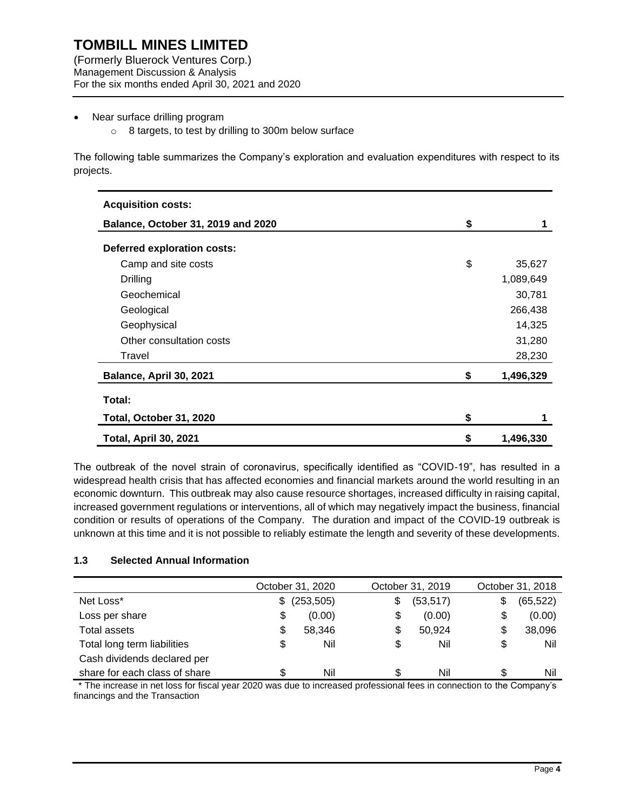(Formerly Bluerock Ventures Corp.) Management Discussion & Analysis For the six months ended April 30, 2021 and 2020

#### Near surface drilling program

o 8 targets, to test by drilling to 300m below surface

The following table summarizes the Company's exploration and evaluation expenditures with respect to its projects.

| <b>Acquisition costs:</b>          |                 |
|------------------------------------|-----------------|
| Balance, October 31, 2019 and 2020 | \$              |
| Deferred exploration costs:        |                 |
| Camp and site costs                | \$<br>35,627    |
| Drilling                           | 1,089,649       |
| Geochemical                        | 30,781          |
| Geological                         | 266,438         |
| Geophysical                        | 14,325          |
| Other consultation costs           | 31,280          |
| Travel                             | 28,230          |
| Balance, April 30, 2021            | \$<br>1,496,329 |
| Total:                             |                 |
| Total, October 31, 2020            | \$              |
| <b>Total, April 30, 2021</b>       | \$<br>1,496,330 |

The outbreak of the novel strain of coronavirus, specifically identified as "COVID-19", has resulted in a widespread health crisis that has affected economies and financial markets around the world resulting in an economic downturn. This outbreak may also cause resource shortages, increased difficulty in raising capital, increased government regulations or interventions, all of which may negatively impact the business, financial condition or results of operations of the Company. The duration and impact of the COVID-19 outbreak is unknown at this time and it is not possible to reliably estimate the length and severity of these developments.

## **1.3 Selected Annual Information**

|                               |    | October 31, 2020 | October 31, 2019 |    | October 31, 2018 |
|-------------------------------|----|------------------|------------------|----|------------------|
| Net Loss*                     | S. | (253, 505)       | \$<br>(53, 517)  | \$ | (65, 522)        |
| Loss per share                | \$ | (0.00)           | \$<br>(0.00)     | \$ | (0.00)           |
| Total assets                  | S  | 58,346           | \$<br>50,924     | S  | 38,096           |
| Total long term liabilities   | \$ | Nil              | \$<br>Nil        | \$ | Nil              |
| Cash dividends declared per   |    |                  |                  |    |                  |
| share for each class of share | \$ | Nil              | Nil              | S  | Nil              |

\* The increase in net loss for fiscal year 2020 was due to increased professional fees in connection to the Company's financings and the Transaction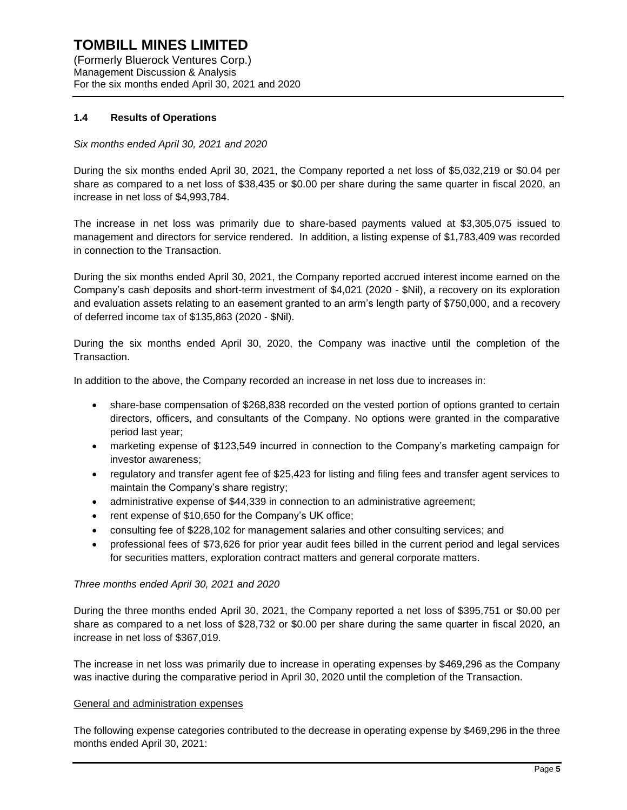(Formerly Bluerock Ventures Corp.) Management Discussion & Analysis For the six months ended April 30, 2021 and 2020

## **1.4 Results of Operations**

## *Six months ended April 30, 2021 and 2020*

During the six months ended April 30, 2021, the Company reported a net loss of \$5,032,219 or \$0.04 per share as compared to a net loss of \$38,435 or \$0.00 per share during the same quarter in fiscal 2020, an increase in net loss of \$4,993,784.

The increase in net loss was primarily due to share-based payments valued at \$3,305,075 issued to management and directors for service rendered. In addition, a listing expense of \$1,783,409 was recorded in connection to the Transaction.

During the six months ended April 30, 2021, the Company reported accrued interest income earned on the Company's cash deposits and short-term investment of \$4,021 (2020 - \$Nil), a recovery on its exploration and evaluation assets relating to an easement granted to an arm's length party of \$750,000, and a recovery of deferred income tax of \$135,863 (2020 - \$Nil).

During the six months ended April 30, 2020, the Company was inactive until the completion of the Transaction.

In addition to the above, the Company recorded an increase in net loss due to increases in:

- share-base compensation of \$268,838 recorded on the vested portion of options granted to certain directors, officers, and consultants of the Company. No options were granted in the comparative period last year;
- marketing expense of \$123,549 incurred in connection to the Company's marketing campaign for investor awareness;
- regulatory and transfer agent fee of \$25,423 for listing and filing fees and transfer agent services to maintain the Company's share registry;
- administrative expense of \$44,339 in connection to an administrative agreement;
- rent expense of \$10,650 for the Company's UK office;
- consulting fee of \$228,102 for management salaries and other consulting services; and
- professional fees of \$73,626 for prior year audit fees billed in the current period and legal services for securities matters, exploration contract matters and general corporate matters.

## *Three months ended April 30, 2021 and 2020*

During the three months ended April 30, 2021, the Company reported a net loss of \$395,751 or \$0.00 per share as compared to a net loss of \$28,732 or \$0.00 per share during the same quarter in fiscal 2020, an increase in net loss of \$367,019.

The increase in net loss was primarily due to increase in operating expenses by \$469,296 as the Company was inactive during the comparative period in April 30, 2020 until the completion of the Transaction.

## General and administration expenses

The following expense categories contributed to the decrease in operating expense by \$469,296 in the three months ended April 30, 2021: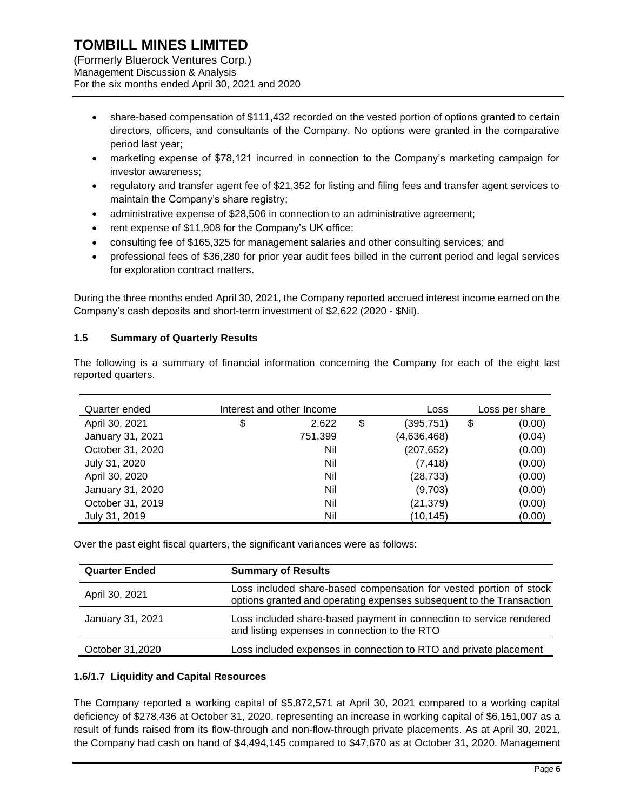(Formerly Bluerock Ventures Corp.) Management Discussion & Analysis For the six months ended April 30, 2021 and 2020

- share-based compensation of \$111,432 recorded on the vested portion of options granted to certain directors, officers, and consultants of the Company. No options were granted in the comparative period last year;
- marketing expense of \$78,121 incurred in connection to the Company's marketing campaign for investor awareness;
- regulatory and transfer agent fee of \$21,352 for listing and filing fees and transfer agent services to maintain the Company's share registry;
- administrative expense of \$28,506 in connection to an administrative agreement;
- rent expense of \$11,908 for the Company's UK office;
- consulting fee of \$165,325 for management salaries and other consulting services; and
- professional fees of \$36,280 for prior year audit fees billed in the current period and legal services for exploration contract matters.

During the three months ended April 30, 2021, the Company reported accrued interest income earned on the Company's cash deposits and short-term investment of \$2,622 (2020 - \$Nil).

## **1.5 Summary of Quarterly Results**

The following is a summary of financial information concerning the Company for each of the eight last reported quarters.

| Quarter ended    | Interest and other Income |    | Loss        | Loss per share |
|------------------|---------------------------|----|-------------|----------------|
| April 30, 2021   | \$<br>2,622               | \$ | (395, 751)  | \$<br>(0.00)   |
| January 31, 2021 | 751,399                   |    | (4,636,468) | (0.04)         |
| October 31, 2020 | Nil                       |    | (207, 652)  | (0.00)         |
| July 31, 2020    | Nil                       |    | (7, 418)    | (0.00)         |
| April 30, 2020   | Nil                       |    | (28, 733)   | (0.00)         |
| January 31, 2020 | Nil                       |    | (9,703)     | (0.00)         |
| October 31, 2019 | Nil                       |    | (21, 379)   | (0.00)         |
| July 31, 2019    | Nil                       |    | (10, 145)   | (0.00)         |

Over the past eight fiscal quarters, the significant variances were as follows:

| <b>Quarter Ended</b> | <b>Summary of Results</b>                                                                                                                  |
|----------------------|--------------------------------------------------------------------------------------------------------------------------------------------|
| April 30, 2021       | Loss included share-based compensation for vested portion of stock<br>options granted and operating expenses subsequent to the Transaction |
| January 31, 2021     | Loss included share-based payment in connection to service rendered<br>and listing expenses in connection to the RTO                       |
| October 31,2020      | Loss included expenses in connection to RTO and private placement                                                                          |

#### **1.6/1.7 Liquidity and Capital Resources**

The Company reported a working capital of \$5,872,571 at April 30, 2021 compared to a working capital deficiency of \$278,436 at October 31, 2020, representing an increase in working capital of \$6,151,007 as a result of funds raised from its flow-through and non-flow-through private placements. As at April 30, 2021, the Company had cash on hand of \$4,494,145 compared to \$47,670 as at October 31, 2020. Management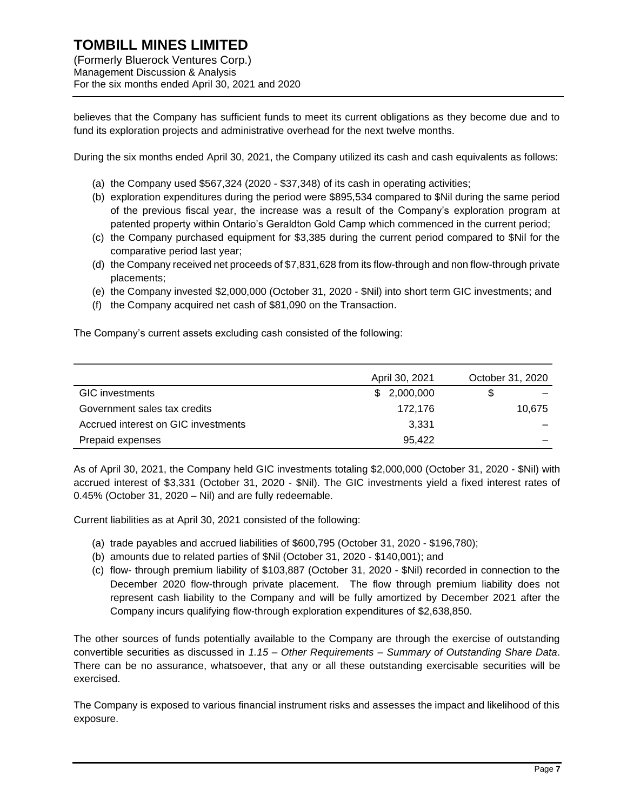believes that the Company has sufficient funds to meet its current obligations as they become due and to fund its exploration projects and administrative overhead for the next twelve months.

During the six months ended April 30, 2021, the Company utilized its cash and cash equivalents as follows:

- (a) the Company used \$567,324 (2020 \$37,348) of its cash in operating activities;
- (b) exploration expenditures during the period were \$895,534 compared to \$Nil during the same period of the previous fiscal year, the increase was a result of the Company's exploration program at patented property within Ontario's Geraldton Gold Camp which commenced in the current period;
- (c) the Company purchased equipment for \$3,385 during the current period compared to \$Nil for the comparative period last year;
- (d) the Company received net proceeds of \$7,831,628 from its flow-through and non flow-through private placements;
- (e) the Company invested \$2,000,000 (October 31, 2020 \$Nil) into short term GIC investments; and
- (f) the Company acquired net cash of \$81,090 on the Transaction.

The Company's current assets excluding cash consisted of the following:

|                                     | April 30, 2021 | October 31, 2020 |  |
|-------------------------------------|----------------|------------------|--|
| <b>GIC</b> investments              | \$2,000,000    |                  |  |
| Government sales tax credits        | 172.176        | 10.675           |  |
| Accrued interest on GIC investments | 3,331          |                  |  |
| Prepaid expenses                    | 95,422         |                  |  |

As of April 30, 2021, the Company held GIC investments totaling \$2,000,000 (October 31, 2020 - \$Nil) with accrued interest of \$3,331 (October 31, 2020 - \$Nil). The GIC investments yield a fixed interest rates of 0.45% (October 31, 2020 – Nil) and are fully redeemable.

Current liabilities as at April 30, 2021 consisted of the following:

- (a) trade payables and accrued liabilities of \$600,795 (October 31, 2020 \$196,780);
- (b) amounts due to related parties of \$Nil (October 31, 2020 \$140,001); and
- (c) flow- through premium liability of \$103,887 (October 31, 2020 \$Nil) recorded in connection to the December 2020 flow-through private placement. The flow through premium liability does not represent cash liability to the Company and will be fully amortized by December 2021 after the Company incurs qualifying flow-through exploration expenditures of \$2,638,850.

The other sources of funds potentially available to the Company are through the exercise of outstanding convertible securities as discussed in *1.15 – Other Requirements – Summary of Outstanding Share Data*. There can be no assurance, whatsoever, that any or all these outstanding exercisable securities will be exercised.

The Company is exposed to various financial instrument risks and assesses the impact and likelihood of this exposure.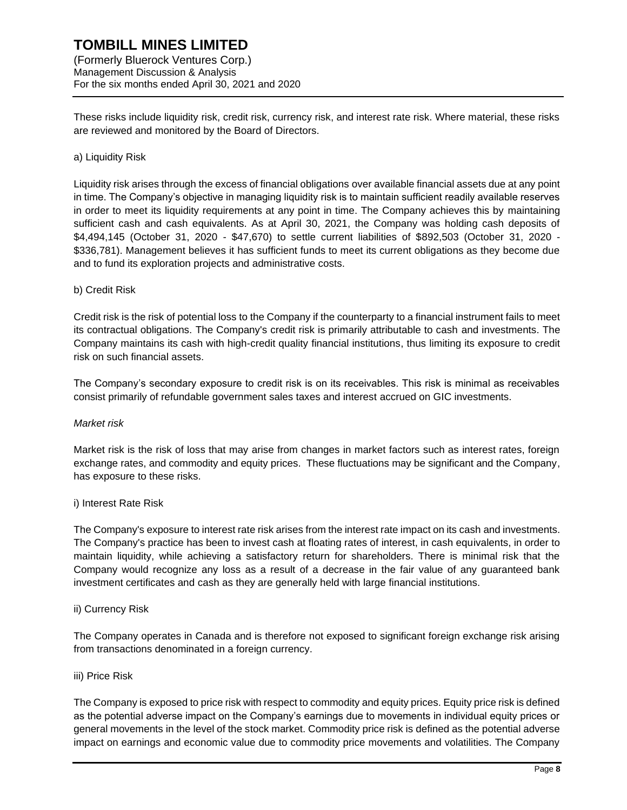These risks include liquidity risk, credit risk, currency risk, and interest rate risk. Where material, these risks are reviewed and monitored by the Board of Directors.

#### a) Liquidity Risk

Liquidity risk arises through the excess of financial obligations over available financial assets due at any point in time. The Company's objective in managing liquidity risk is to maintain sufficient readily available reserves in order to meet its liquidity requirements at any point in time. The Company achieves this by maintaining sufficient cash and cash equivalents. As at April 30, 2021, the Company was holding cash deposits of \$4,494,145 (October 31, 2020 - \$47,670) to settle current liabilities of \$892,503 (October 31, 2020 - \$336,781). Management believes it has sufficient funds to meet its current obligations as they become due and to fund its exploration projects and administrative costs.

#### b) Credit Risk

Credit risk is the risk of potential loss to the Company if the counterparty to a financial instrument fails to meet its contractual obligations. The Company's credit risk is primarily attributable to cash and investments. The Company maintains its cash with high-credit quality financial institutions, thus limiting its exposure to credit risk on such financial assets.

The Company's secondary exposure to credit risk is on its receivables. This risk is minimal as receivables consist primarily of refundable government sales taxes and interest accrued on GIC investments.

#### *Market risk*

Market risk is the risk of loss that may arise from changes in market factors such as interest rates, foreign exchange rates, and commodity and equity prices. These fluctuations may be significant and the Company, has exposure to these risks.

#### i) Interest Rate Risk

The Company's exposure to interest rate risk arises from the interest rate impact on its cash and investments. The Company's practice has been to invest cash at floating rates of interest, in cash equivalents, in order to maintain liquidity, while achieving a satisfactory return for shareholders. There is minimal risk that the Company would recognize any loss as a result of a decrease in the fair value of any guaranteed bank investment certificates and cash as they are generally held with large financial institutions.

#### ii) Currency Risk

The Company operates in Canada and is therefore not exposed to significant foreign exchange risk arising from transactions denominated in a foreign currency.

#### iii) Price Risk

The Company is exposed to price risk with respect to commodity and equity prices. Equity price risk is defined as the potential adverse impact on the Company's earnings due to movements in individual equity prices or general movements in the level of the stock market. Commodity price risk is defined as the potential adverse impact on earnings and economic value due to commodity price movements and volatilities. The Company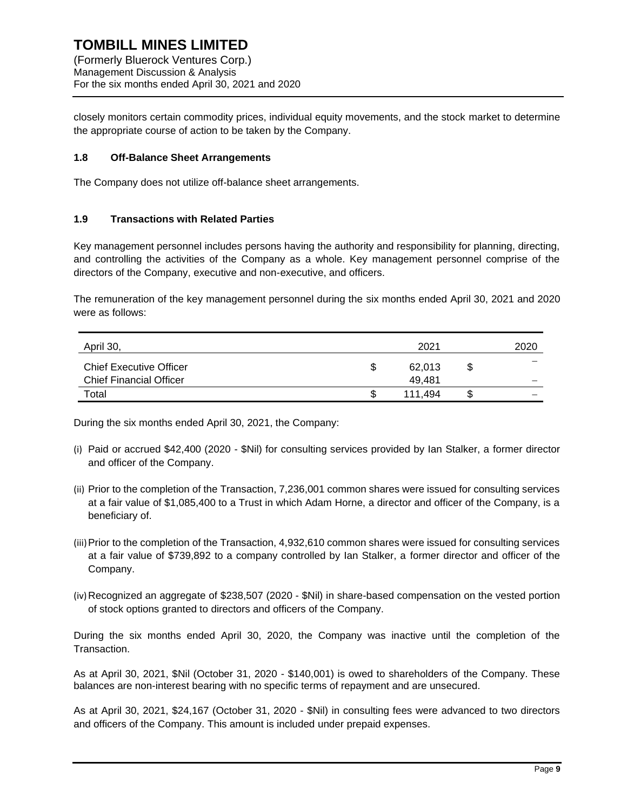closely monitors certain commodity prices, individual equity movements, and the stock market to determine the appropriate course of action to be taken by the Company.

## **1.8 Off-Balance Sheet Arrangements**

The Company does not utilize off-balance sheet arrangements.

#### **1.9 Transactions with Related Parties**

Key management personnel includes persons having the authority and responsibility for planning, directing, and controlling the activities of the Company as a whole. Key management personnel comprise of the directors of the Company, executive and non-executive, and officers.

The remuneration of the key management personnel during the six months ended April 30, 2021 and 2020 were as follows:

| April 30,                      | 2021 |         |   | 2020 |
|--------------------------------|------|---------|---|------|
| <b>Chief Executive Officer</b> | S    | 62.013  | S |      |
| <b>Chief Financial Officer</b> |      | 49.481  |   |      |
| Total                          | ۰D.  | 111.494 |   | -    |

During the six months ended April 30, 2021, the Company:

- (i) Paid or accrued \$42,400 (2020 \$Nil) for consulting services provided by Ian Stalker, a former director and officer of the Company.
- (ii) Prior to the completion of the Transaction, 7,236,001 common shares were issued for consulting services at a fair value of \$1,085,400 to a Trust in which Adam Horne, a director and officer of the Company, is a beneficiary of.
- (iii)Prior to the completion of the Transaction, 4,932,610 common shares were issued for consulting services at a fair value of \$739,892 to a company controlled by Ian Stalker, a former director and officer of the Company.
- (iv)Recognized an aggregate of \$238,507 (2020 \$Nil) in share-based compensation on the vested portion of stock options granted to directors and officers of the Company.

During the six months ended April 30, 2020, the Company was inactive until the completion of the Transaction.

As at April 30, 2021, \$Nil (October 31, 2020 - \$140,001) is owed to shareholders of the Company. These balances are non-interest bearing with no specific terms of repayment and are unsecured.

As at April 30, 2021, \$24,167 (October 31, 2020 - \$Nil) in consulting fees were advanced to two directors and officers of the Company. This amount is included under prepaid expenses.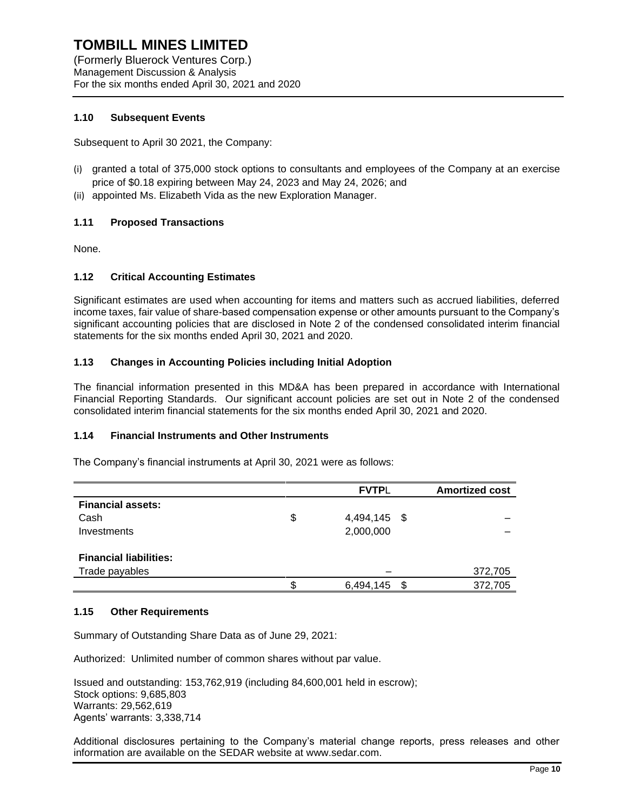(Formerly Bluerock Ventures Corp.) Management Discussion & Analysis For the six months ended April 30, 2021 and 2020

## **1.10 Subsequent Events**

Subsequent to April 30 2021, the Company:

- (i) granted a total of 375,000 stock options to consultants and employees of the Company at an exercise price of \$0.18 expiring between May 24, 2023 and May 24, 2026; and
- (ii) appointed Ms. Elizabeth Vida as the new Exploration Manager.

# **1.11 Proposed Transactions**

None.

## **1.12 Critical Accounting Estimates**

Significant estimates are used when accounting for items and matters such as accrued liabilities, deferred income taxes, fair value of share-based compensation expense or other amounts pursuant to the Company's significant accounting policies that are disclosed in Note 2 of the condensed consolidated interim financial statements for the six months ended April 30, 2021 and 2020.

## **1.13 Changes in Accounting Policies including Initial Adoption**

The financial information presented in this MD&A has been prepared in accordance with International Financial Reporting Standards. Our significant account policies are set out in Note 2 of the condensed consolidated interim financial statements for the six months ended April 30, 2021 and 2020.

## **1.14 Financial Instruments and Other Instruments**

The Company's financial instruments at April 30, 2021 were as follows:

|                               | <b>FVTPL</b>       | <b>Amortized cost</b> |
|-------------------------------|--------------------|-----------------------|
| <b>Financial assets:</b>      |                    |                       |
| Cash                          | \$<br>4,494,145 \$ |                       |
| Investments                   | 2,000,000          |                       |
|                               |                    |                       |
| <b>Financial liabilities:</b> |                    |                       |
| Trade payables                |                    | 372,705               |
|                               | 6,494,145          | \$<br>372,705         |

#### **1.15 Other Requirements**

Summary of Outstanding Share Data as of June 29, 2021:

Authorized: Unlimited number of common shares without par value.

Issued and outstanding: 153,762,919 (including 84,600,001 held in escrow); Stock options: 9,685,803 Warrants: 29,562,619 Agents' warrants: 3,338,714

Additional disclosures pertaining to the Company's material change reports, press releases and other information are available on the SEDAR website at [www.sedar.com.](http://www.sedar.com/)